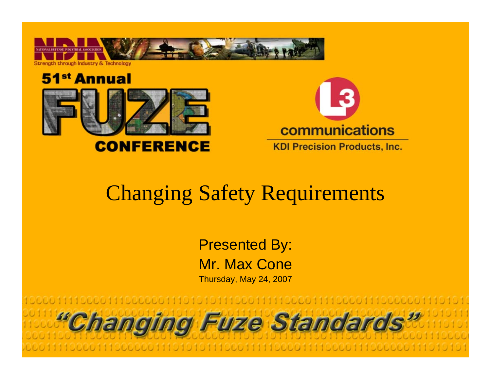





#### Changing Safety Requirements

Presented By: Mr. Max ConeThursday, May 24, 2007

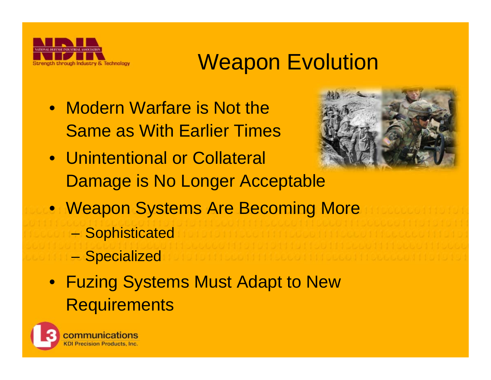

#### **Weapon Evolution**

• Modern Warfare is Not the Same as With Earlier Times



- Unintentional or Collateral Damage is No Longer Acceptable
- Weapon Systems Are Becoming More
	- –**Sophisticated**
	- –**Specialized**
- Fuzing Systems Must Adapt to New **Requirements**

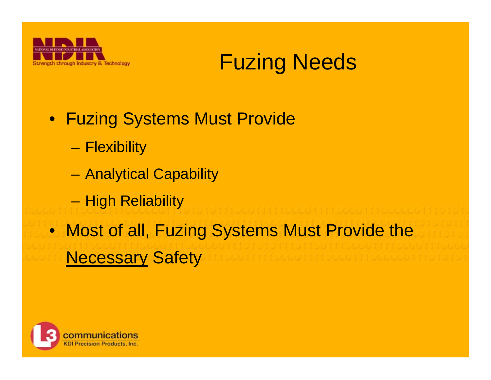



- Fuzing Systems Must Provide
	- **Flexibility**
	- Analytical Capability
	- –High Reliability
- Most of all, Fuzing Systems Must Provide the Necessary Safety

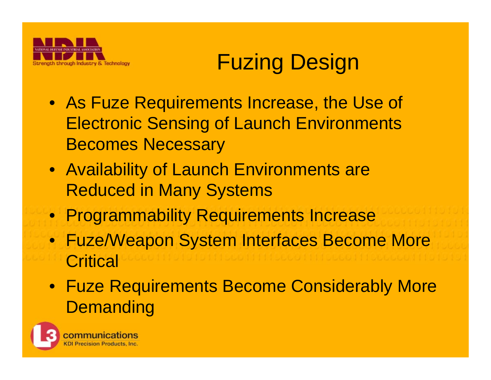

## Fuzing Design

- As Fuze Requirements Increase, the Use of Electronic Sensing of Launch Environments Becomes Necessary
- Availability of Launch Environments are Reduced in Many Systems
- Programmability Requirements Increase
- Fuze/Weapon System Interfaces Become More **Critical**
- Fuze Requirements Become Considerably More **Demanding**

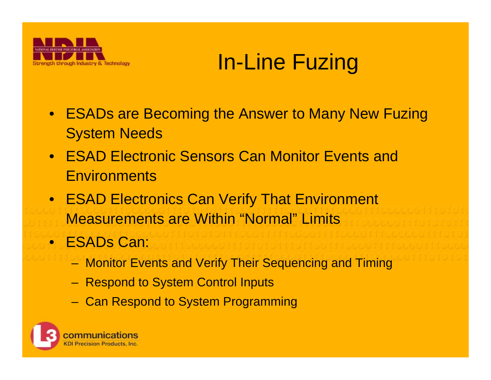

### In-Line Fuzing

- ESADs are Becoming the Answer to Many New Fuzing System Needs
- ESAD Electronic Sensors Can Monitor Events and **Environments**
- ESAD Electronics Can Verify That Environment Measurements are Within "Normal" Limits
- ESADs Can:
	- Monitor Events and Verify Their Sequencing and Timing
	- Respond to System Control Inputs
	- Can Respond to System Programming

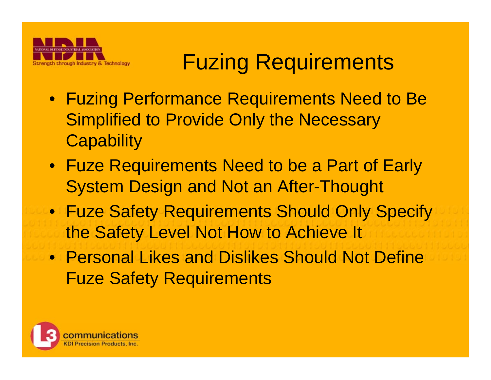

### Fuzing Requirements

- Fuzing Performance Requirements Need to Be Simplified to Provide Only the Necessary **Capability**
- Fuze Requirements Need to be a Part of Early System Design and Not an After-Thought
- Fuze Safety Requirements Should Only Specify the Safety Level Not How to Achieve It
- Personal Likes and Dislikes Should Not Define Fuze Safety Requirements

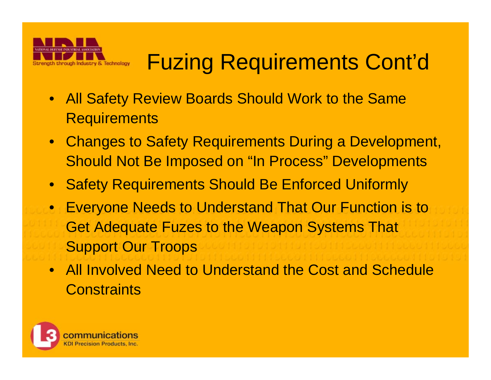

# Fuzing Requirements Cont'd

- All Safety Review Boards Should Work to the Same **Requirements**
- Changes to Safety Requirements During a Development, Should Not Be Imposed on "In Process" Developments
- Safety Requirements Should Be Enforced Uniformly
- Everyone Needs to Understand That Our Function is to Get Adequate Fuzes to the Weapon Systems That Support Our Troops
- All Involved Need to Understand the Cost and Schedule **Constraints**

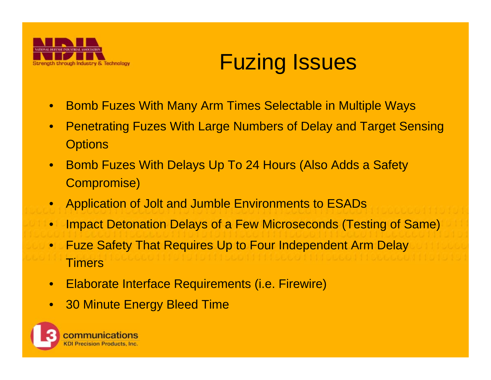

#### Fuzing Issues

- •Bomb Fuzes With Many Arm Times Selectable in Multiple Ways
- • Penetrating Fuzes With Large Numbers of Delay and Target Sensing **Options**
- • Bomb Fuzes With Delays Up To 24 Hours (Also Adds a Safety Compromise)
- $\bullet$ Application of Jolt and Jumble Environments to ESADs
- •Impact Detonation Delays of a Few Microseconds (Testing of Same)
- $\bullet$  Fuze Safety That Requires Up to Four Independent Arm Delay **Timers**
- $\bullet$ Elaborate Interface Requirements (i.e. Firewire)
- $\bullet$ 30 Minute Energy Bleed Time

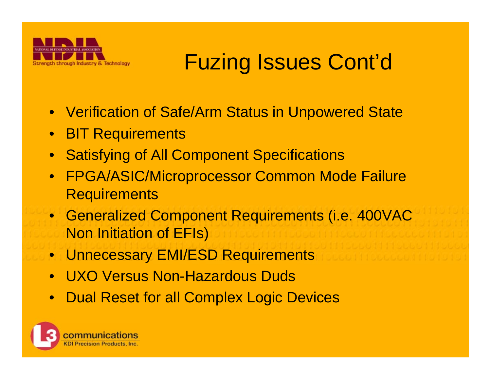

## Fuzing Issues Cont'd

- Verification of Safe/Arm Status in Unpowered State
- BIT Requirements
- $\bullet$ Satisfying of All Component Specifications
- FPGA/ASIC/Microprocessor Common Mode Failure **Requirements**
- Generalized Component Requirements (i.e. 400VAC Non Initiation of EFIs)
- Unnecessary EMI/ESD Requirements
- $\bullet$ UXO Versus Non-Hazardous Duds
- Dual Reset for all Complex Logic Devices

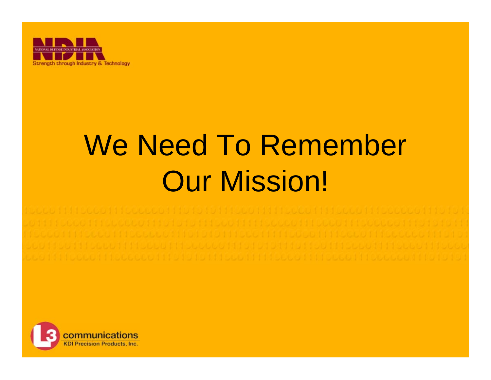

# We Need To Remember Our Mission!